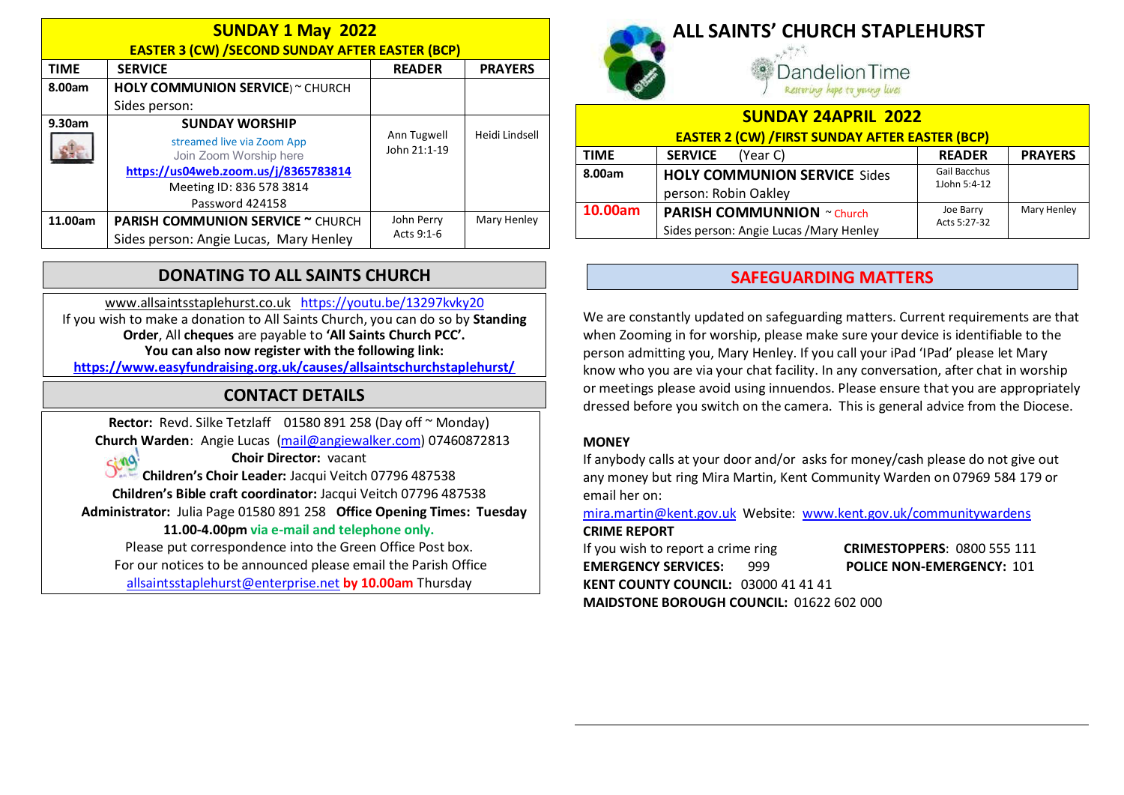| <b>SUNDAY 1 May 2022</b><br><b>EASTER 3 (CW) /SECOND SUNDAY AFTER EASTER (BCP)</b> |                                                      |                             |                |
|------------------------------------------------------------------------------------|------------------------------------------------------|-----------------------------|----------------|
| <b>TIME</b>                                                                        | <b>SERVICE</b>                                       | <b>READER</b>               | <b>PRAYERS</b> |
| 8.00am                                                                             | <b>HOLY COMMUNION SERVICE</b> ) ~ CHURCH             |                             |                |
|                                                                                    | Sides person:                                        |                             |                |
| 9.30am                                                                             | <b>SUNDAY WORSHIP</b>                                |                             |                |
|                                                                                    | streamed live via Zoom App<br>Join Zoom Worship here | Ann Tugwell<br>John 21:1-19 | Heidi Lindsell |
|                                                                                    | https://us04web.zoom.us/j/8365783814                 |                             |                |
|                                                                                    | Meeting ID: 836 578 3814                             |                             |                |
|                                                                                    | Password 424158                                      |                             |                |
| 11.00am                                                                            | <b>PARISH COMMUNION SERVICE ~ CHURCH</b>             | John Perry                  | Mary Henley    |
|                                                                                    | Sides person: Angie Lucas, Mary Henley               | Acts 9:1-6                  |                |

### DONATING TO ALL SAINTS CHURCH

www.allsaintsstaplehurst.co.uk https://youtu.be/13297kvky20 If you wish to make a donation to All Saints Church, you can do so by Standing Order, All cheques are payable to 'All Saints Church PCC'. You can also now register with the following link: https://www.easyfundraising.org.uk/causes/allsaintschurchstaplehurst/

# CONTACT DETAILS

Rector: Revd. Silke Tetzlaff 01580 891 258 (Day off ~ Monday) Church Warden: Angie Lucas (mail@angiewalker.com) 07460872813

Choir Director: vacant  $sin 9$ Children's Choir Leader: Jacqui Veitch 07796 487538 Children's Bible craft coordinator: Jacqui Veitch 07796 487538 Administrator: Julia Page 01580 891 258 Office Opening Times: Tuesday 11.00-4.00pm via e-mail and telephone only. Please put correspondence into the Green Office Post box.

For our notices to be announced please email the Parish Office allsaintsstaplehurst@enterprise.net by 10.00am Thursday



# ALL SAINTS' CHURCH STAPLEHURST

andelion Time Restoring hope to young lives

| <b>SUNDAY 24APRIL 2022</b>                             |                                         |                          |                |
|--------------------------------------------------------|-----------------------------------------|--------------------------|----------------|
| <b>EASTER 2 (CW) / FIRST SUNDAY AFTER EASTER (BCP)</b> |                                         |                          |                |
| <b>TIME</b>                                            | <b>SERVICE</b><br>(Year C)              | <b>READER</b>            | <b>PRAYERS</b> |
| 8.00am                                                 | <b>HOLY COMMUNION SERVICE Sides</b>     | Gail Bacchus             |                |
|                                                        | person: Robin Oakley                    | 1John 5:4-12             |                |
| 10.00am                                                | <b>PARISH COMMUNNION</b> ~ Church       | Mary Henley<br>Joe Barry |                |
|                                                        | Sides person: Angie Lucas / Mary Henley | Acts 5:27-32             |                |

### SAFEGUARDING MATTERS

We are constantly updated on safeguarding matters. Current requirements are that when Zooming in for worship, please make sure your device is identifiable to the person admitting you, Mary Henley. If you call your iPad 'IPad' please let Mary know who you are via your chat facility. In any conversation, after chat in worship or meetings please avoid using innuendos. Please ensure that you are appropriately dressed before you switch on the camera. This is general advice from the Diocese.

#### **MONEY**

If anybody calls at your door and/or asks for money/cash please do not give out any money but ring Mira Martin, Kent Community Warden on 07969 584 179 or email her on:

mira.martin@kent.gov.uk Website: www.kent.gov.uk/communitywardens CRIME REPORT

If you wish to report a crime ring **CRIMESTOPPERS:** 0800 555 111 EMERGENCY SERVICES: 999 POLICE NON-EMERGENCY: 101 KENT COUNTY COUNCIL: 03000 41 41 41

MAIDSTONE BOROUGH COUNCIL: 01622 602 000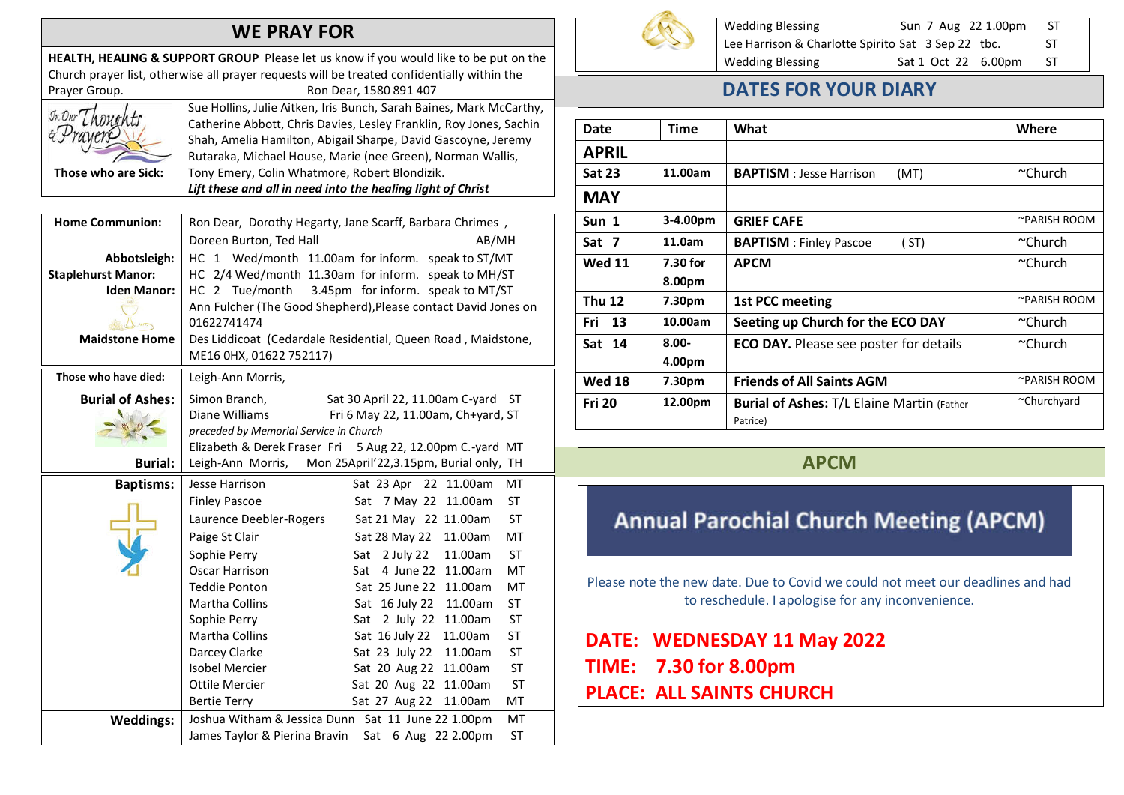### WE PRAY FOR

HEALTH, HEALING & SUPPORT GROUP Please let us know if you would like to be put on the Church prayer list, otherwise all prayer requests will be treated confidentially within the Prayer Group. The Contract of the Ron Dear, 1580 891 407



Sue Hollins, Julie Aitken, Iris Bunch, Sarah Baines, Mark McCarthy, Catherine Abbott, Chris Davies, Lesley Franklin, Roy Jones, Sachin Shah, Amelia Hamilton, Abigail Sharpe, David Gascoyne, Jeremy Rutaraka, Michael House, Marie (nee Green), Norman Wallis, Tony Emery, Colin Whatmore, Robert Blondizik. Lift these and all in need into the healing light of Christ

| Ron Dear, Dorothy Hegarty, Jane Scarff, Barbara Chrimes,                                       |                                                                                                                                                                |  |                                                           |
|------------------------------------------------------------------------------------------------|----------------------------------------------------------------------------------------------------------------------------------------------------------------|--|-----------------------------------------------------------|
| Doreen Burton, Ted Hall<br>AB/MH                                                               |                                                                                                                                                                |  |                                                           |
|                                                                                                | HC 1 Wed/month 11.00am for inform. speak to ST/MT                                                                                                              |  |                                                           |
|                                                                                                | HC 2/4 Wed/month 11.30am for inform. speak to MH/ST                                                                                                            |  |                                                           |
| HC 2 Tue/month                                                                                 | 3.45pm for inform. speak to MT/ST                                                                                                                              |  |                                                           |
|                                                                                                | Ann Fulcher (The Good Shepherd), Please contact David Jones on                                                                                                 |  |                                                           |
| 01622741474                                                                                    |                                                                                                                                                                |  |                                                           |
| Des Liddicoat (Cedardale Residential, Queen Road, Maidstone,                                   |                                                                                                                                                                |  |                                                           |
| ME16 0HX, 01622 752117)                                                                        |                                                                                                                                                                |  |                                                           |
| Leigh-Ann Morris,                                                                              |                                                                                                                                                                |  |                                                           |
| Simon Branch,                                                                                  | Sat 30 April 22, 11.00am C-yard ST                                                                                                                             |  |                                                           |
| Diane Williams<br>Fri 6 May 22, 11.00am, Ch+yard, ST<br>preceded by Memorial Service in Church |                                                                                                                                                                |  |                                                           |
|                                                                                                |                                                                                                                                                                |  | Elizabeth & Derek Fraser Fri 5 Aug 22, 12.00pm C.-yard MT |
| Leigh-Ann Morris,                                                                              | Mon 25April'22,3.15pm, Burial only, TH                                                                                                                         |  |                                                           |
| Jesse Harrison                                                                                 | Sat 23 Apr 22 11.00am<br>MT                                                                                                                                    |  |                                                           |
| <b>Finley Pascoe</b>                                                                           | <b>ST</b><br>Sat 7 May 22 11.00am                                                                                                                              |  |                                                           |
| Laurence Deebler-Rogers                                                                        | <b>ST</b><br>Sat 21 May 22 11.00am                                                                                                                             |  |                                                           |
| Paige St Clair                                                                                 | MT<br>Sat 28 May 22<br>11.00am                                                                                                                                 |  |                                                           |
| Sophie Perry                                                                                   | <b>ST</b><br>Sat 2 July 22<br>11.00am                                                                                                                          |  |                                                           |
| Oscar Harrison                                                                                 | MT<br>4 June 22<br>11.00am<br>Sat                                                                                                                              |  |                                                           |
| <b>Teddie Ponton</b>                                                                           | 11.00am<br>MT<br>Sat 25 June 22                                                                                                                                |  |                                                           |
| Martha Collins                                                                                 | <b>ST</b><br>Sat 16 July 22<br>11.00am                                                                                                                         |  |                                                           |
| Sophie Perry                                                                                   | Sat 2 July 22<br><b>ST</b><br>11.00am                                                                                                                          |  |                                                           |
|                                                                                                | <b>ST</b><br>Sat 16 July 22<br>11.00am                                                                                                                         |  |                                                           |
|                                                                                                | <b>ST</b><br>Sat 23 July 22<br>11.00am                                                                                                                         |  |                                                           |
|                                                                                                | <b>ST</b><br>Sat 20 Aug 22 11.00am                                                                                                                             |  |                                                           |
|                                                                                                | <b>ST</b><br>Sat 20 Aug 22<br>11.00am                                                                                                                          |  |                                                           |
|                                                                                                | Sat 27 Aug 22<br>11.00am<br>MT                                                                                                                                 |  |                                                           |
|                                                                                                | MT<br><b>ST</b>                                                                                                                                                |  |                                                           |
| James Taylor & Pierina Bravin                                                                  | Sat 6 Aug 22 2.00pm                                                                                                                                            |  |                                                           |
|                                                                                                | <b>Martha Collins</b><br>Darcey Clarke<br><b>Isobel Mercier</b><br>Ottile Mercier<br><b>Bertie Terry</b><br>Joshua Witham & Jessica Dunn Sat 11 June 22 1.00pm |  |                                                           |



Wedding Blessing Sun 7 Aug 22 1.00pm ST Lee Harrison & Charlotte Spirito Sat 3 Sep 22 tbc. ST Wedding Blessing Sat 1 Oct 22 6.00pm ST

### DATES FOR YOUR DIARY

| Date          | <b>Time</b> | What                                              | Where          |
|---------------|-------------|---------------------------------------------------|----------------|
| <b>APRIL</b>  |             |                                                   |                |
| <b>Sat 23</b> | 11.00am     | <b>BAPTISM</b> : Jesse Harrison<br>(MT)           | $~\sim$ Church |
| <b>MAY</b>    |             |                                                   |                |
| Sun 1         | 3-4.00pm    | <b>GRIEF CAFE</b>                                 | ~PARISH ROOM   |
| Sat 7         | 11.0am      | <b>BAPTISM</b> : Finley Pascoe<br>(ST)            | ∼Church        |
| <b>Wed 11</b> | 7.30 for    | <b>APCM</b>                                       | $~\sim$ Church |
|               | 8.00pm      |                                                   |                |
| <b>Thu 12</b> | 7.30pm      | 1st PCC meeting                                   | ~PARISH ROOM   |
| Fri<br>13     | 10.00am     | Seeting up Church for the ECO DAY                 | ~Church        |
| Sat 14        | $8.00 -$    | <b>ECO DAY.</b> Please see poster for details     | ∼Church        |
|               | 4.00pm      |                                                   |                |
| <b>Wed 18</b> | 7.30pm      | <b>Friends of All Saints AGM</b>                  | ~PARISH ROOM   |
| <b>Fri 20</b> | 12.00pm     | <b>Burial of Ashes: T/L Elaine Martin (Father</b> | ~Churchyard    |
|               |             | Patrice)                                          |                |

#### APCM

# **Annual Parochial Church Meeting (APCM)**

Please note the new date. Due to Covid we could not meet our deadlines and had to reschedule. I apologise for any inconvenience.

DATE: WEDNESDAY 11 May 2022 TIME: 7.30 for 8.00pm PLACE: ALL SAINTS CHURCH